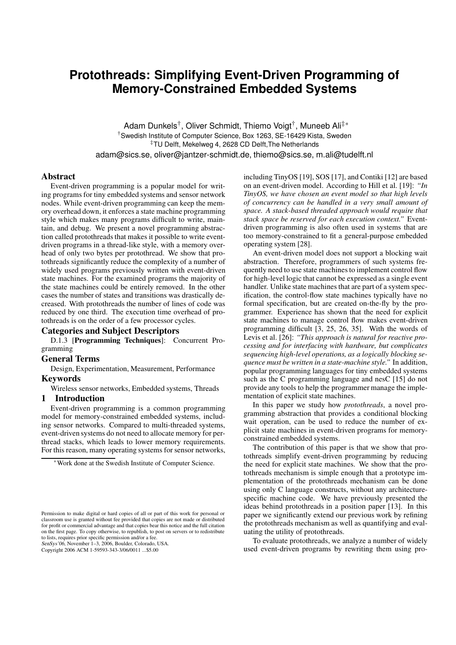# **Protothreads: Simplifying Event-Driven Programming of Memory-Constrained Embedded Systems**

Adam Dunkels† , Oliver Schmidt, Thiemo Voigt† , Muneeb Ali‡<sup>∗</sup> †Swedish Institute of Computer Science, Box 1263, SE-16429 Kista, Sweden ‡TU Delft, Mekelweg 4, 2628 CD Delft,The Netherlands adam@sics.se, oliver@jantzer-schmidt.de, thiemo@sics.se, m.ali@tudelft.nl

## **Abstract**

Event-driven programming is a popular model for writing programs for tiny embedded systems and sensor network nodes. While event-driven programming can keep the memory overhead down, it enforces a state machine programming style which makes many programs difficult to write, maintain, and debug. We present a novel programming abstraction called protothreads that makes it possible to write eventdriven programs in a thread-like style, with a memory overhead of only two bytes per protothread. We show that protothreads significantly reduce the complexity of a number of widely used programs previously written with event-driven state machines. For the examined programs the majority of the state machines could be entirely removed. In the other cases the number of states and transitions was drastically decreased. With protothreads the number of lines of code was reduced by one third. The execution time overhead of protothreads is on the order of a few processor cycles.

# **Categories and Subject Descriptors**

D.1.3 [**Programming Techniques**]: Concurrent Programming

## **General Terms**

Design, Experimentation, Measurement, Performance

# **Keywords**

Wireless sensor networks, Embedded systems, Threads

## **1 Introduction**

Event-driven programming is a common programming model for memory-constrained embedded systems, including sensor networks. Compared to multi-threaded systems, event-driven systems do not need to allocate memory for perthread stacks, which leads to lower memory requirements. For this reason, many operating systems for sensor networks,

SenSys'06, November 1–3, 2006, Boulder, Colorado, USA.

Copyright 2006 ACM 1-59593-343-3/06/0011 ...\$5.00

including TinyOS [19], SOS [17], and Contiki [12] are based on an event-driven model. According to Hill et al. [19]: *"In TinyOS, we have chosen an event model so that high levels of concurrency can be handled in a very small amount of space. A stack-based threaded approach would require that stack space be reserved for each execution context."* Eventdriven programming is also often used in systems that are too memory-constrained to fit a general-purpose embedded operating system [28].

An event-driven model does not support a blocking wait abstraction. Therefore, programmers of such systems frequently need to use state machines to implement control flow for high-level logic that cannot be expressed as a single event handler. Unlike state machines that are part of a system specification, the control-flow state machines typically have no formal specification, but are created on-the-fly by the programmer. Experience has shown that the need for explicit state machines to manage control flow makes event-driven programming difficult [3, 25, 26, 35]. With the words of Levis et al. [26]: *"This approach is natural for reactive processing and for interfacing with hardware, but complicates sequencing high-level operations, as a logically blocking sequence must be written in a state-machine style."* In addition, popular programming languages for tiny embedded systems such as the C programming language and nesC [15] do not provide any tools to help the programmer manage the implementation of explicit state machines.

In this paper we study how *protothreads*, a novel programming abstraction that provides a conditional blocking wait operation, can be used to reduce the number of explicit state machines in event-driven programs for memoryconstrained embedded systems.

The contribution of this paper is that we show that protothreads simplify event-driven programming by reducing the need for explicit state machines. We show that the protothreads mechanism is simple enough that a prototype implementation of the protothreads mechanism can be done using only C language constructs, without any architecturespecific machine code. We have previously presented the ideas behind protothreads in a position paper [13]. In this paper we significantly extend our previous work by refining the protothreads mechanism as well as quantifying and evaluating the utility of protothreads.

To evaluate protothreads, we analyze a number of widely used event-driven programs by rewriting them using pro-

<sup>∗</sup>Work done at the Swedish Institute of Computer Science.

Permission to make digital or hard copies of all or part of this work for personal or classroom use is granted without fee provided that copies are not made or distributed for profit or commercial advantage and that copies bear this notice and the full citation on the first page. To copy otherwise, to republish, to post on servers or to redistribute to lists, requires prior specific permission and/or a fee.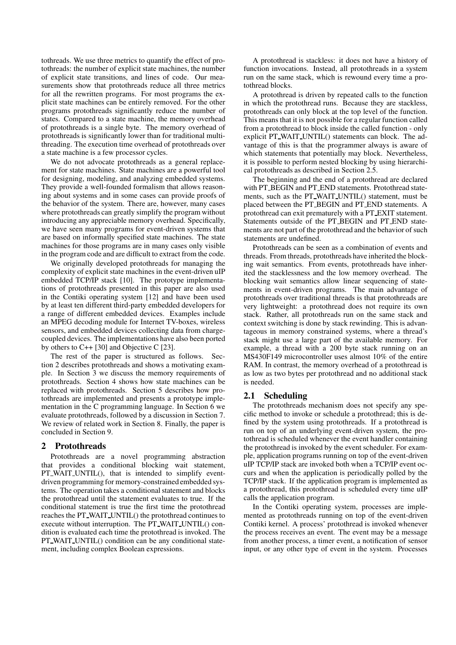tothreads. We use three metrics to quantify the effect of protothreads: the number of explicit state machines, the number of explicit state transitions, and lines of code. Our measurements show that protothreads reduce all three metrics for all the rewritten programs. For most programs the explicit state machines can be entirely removed. For the other programs protothreads significantly reduce the number of states. Compared to a state machine, the memory overhead of protothreads is a single byte. The memory overhead of protothreads is significantly lower than for traditional multithreading. The execution time overhead of protothreads over a state machine is a few processor cycles.

We do not advocate protothreads as a general replacement for state machines. State machines are a powerful tool for designing, modeling, and analyzing embedded systems. They provide a well-founded formalism that allows reasoning about systems and in some cases can provide proofs of the behavior of the system. There are, however, many cases where protothreads can greatly simplify the program without introducing any appreciable memory overhead. Specifically, we have seen many programs for event-driven systems that are based on informally specified state machines. The state machines for those programs are in many cases only visible in the program code and are difficult to extract from the code.

We originally developed protothreads for managing the complexity of explicit state machines in the event-driven uIP embedded TCP/IP stack [10]. The prototype implementations of protothreads presented in this paper are also used in the Contiki operating system [12] and have been used by at least ten different third-party embedded developers for a range of different embedded devices. Examples include an MPEG decoding module for Internet TV-boxes, wireless sensors, and embedded devices collecting data from chargecoupled devices. The implementations have also been ported by others to C++ [30] and Objective C [23].

The rest of the paper is structured as follows. Section 2 describes protothreads and shows a motivating example. In Section 3 we discuss the memory requirements of protothreads. Section 4 shows how state machines can be replaced with protothreads. Section 5 describes how protothreads are implemented and presents a prototype implementation in the C programming language. In Section 6 we evaluate protothreads, followed by a discussion in Section 7. We review of related work in Section 8. Finally, the paper is concluded in Section 9.

# **2 Protothreads**

Protothreads are a novel programming abstraction that provides a conditional blocking wait statement, PT WAIT UNTIL(), that is intended to simplify eventdriven programming for memory-constrained embedded systems. The operation takes a conditional statement and blocks the protothread until the statement evaluates to true. If the conditional statement is true the first time the protothread reaches the PT WAIT UNTIL() the protothread continues to execute without interruption. The PT WAIT UNTIL() condition is evaluated each time the protothread is invoked. The PT WAIT UNTIL() condition can be any conditional statement, including complex Boolean expressions.

A protothread is stackless: it does not have a history of function invocations. Instead, all protothreads in a system run on the same stack, which is rewound every time a protothread blocks.

A protothread is driven by repeated calls to the function in which the protothread runs. Because they are stackless, protothreads can only block at the top level of the function. This means that it is not possible for a regular function called from a protothread to block inside the called function - only explicit PT WAIT UNTIL() statements can block. The advantage of this is that the programmer always is aware of which statements that potentially may block. Nevertheless, it is possible to perform nested blocking by using hierarchical protothreads as described in Section 2.5.

The beginning and the end of a protothread are declared with PT BEGIN and PT END statements. Protothread statements, such as the PT WAIT UNTIL() statement, must be placed between the PT BEGIN and PT END statements. A protothread can exit prematurely with a PT EXIT statement. Statements outside of the PT BEGIN and PT END statements are not part of the protothread and the behavior of such statements are undefined.

Protothreads can be seen as a combination of events and threads. From threads, protothreads have inherited the blocking wait semantics. From events, protothreads have inherited the stacklessness and the low memory overhead. The blocking wait semantics allow linear sequencing of statements in event-driven programs. The main advantage of protothreads over traditional threads is that protothreads are very lightweight: a protothread does not require its own stack. Rather, all protothreads run on the same stack and context switching is done by stack rewinding. This is advantageous in memory constrained systems, where a thread's stack might use a large part of the available memory. For example, a thread with a 200 byte stack running on an MS430F149 microcontroller uses almost 10% of the entire RAM. In contrast, the memory overhead of a protothread is as low as two bytes per protothread and no additional stack is needed.

# **2.1 Scheduling**

The protothreads mechanism does not specify any specific method to invoke or schedule a protothread; this is defined by the system using protothreads. If a protothread is run on top of an underlying event-driven system, the protothread is scheduled whenever the event handler containing the protothread is invoked by the event scheduler. For example, application programs running on top of the event-driven uIP TCP/IP stack are invoked both when a TCP/IP event occurs and when the application is periodically polled by the TCP/IP stack. If the application program is implemented as a protothread, this protothread is scheduled every time uIP calls the application program.

In the Contiki operating system, processes are implemented as protothreads running on top of the event-driven Contiki kernel. A process' protothread is invoked whenever the process receives an event. The event may be a message from another process, a timer event, a notification of sensor input, or any other type of event in the system. Processes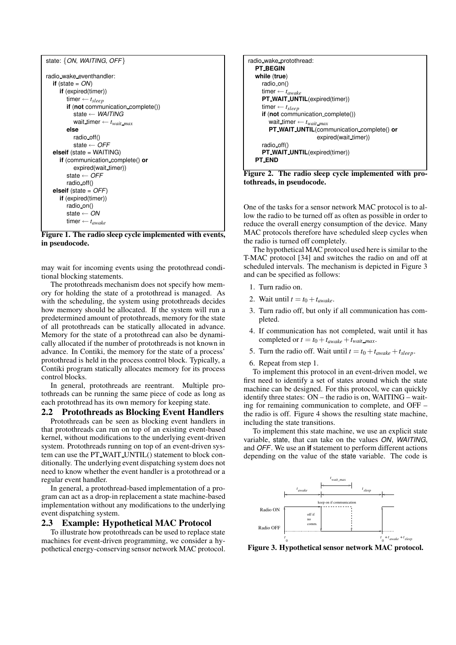| state: $\{ON, WAITING, OFF\}$            |
|------------------------------------------|
| radio wake eventhandler:                 |
| if (state = $ON$ )                       |
| <b>if</b> (expired(timer))               |
| timer $\leftarrow$ $t_{sleep}$           |
| <b>if</b> (not communication complete()) |
| state $\leftarrow$ <i>WAITING</i>        |
| wait timer $\leftarrow t_{wait max}$     |
| else                                     |
| radio_off()                              |
| state $\leftarrow$ OFF                   |
| elseif $(state = WAITING)$               |
| if (communication_complete() or          |
| expired(wait_timer))                     |
| state $\leftarrow$ OFF                   |
| radio off()                              |
| elseif (state = $OFF$ )                  |
| <b>if</b> (expired(timer))               |
| radio on()                               |
| state $\leftarrow$ ON                    |
| timer $\leftarrow$ t <sub>awake</sub>    |

**Figure 1. The radio sleep cycle implemented with events, in pseudocode.**

may wait for incoming events using the protothread conditional blocking statements.

The protothreads mechanism does not specify how memory for holding the state of a protothread is managed. As with the scheduling, the system using protothreads decides how memory should be allocated. If the system will run a predetermined amount of protothreads, memory for the state of all protothreads can be statically allocated in advance. Memory for the state of a protothread can also be dynamically allocated if the number of protothreads is not known in advance. In Contiki, the memory for the state of a process' protothread is held in the process control block. Typically, a Contiki program statically allocates memory for its process control blocks.

In general, protothreads are reentrant. Multiple protothreads can be running the same piece of code as long as each protothread has its own memory for keeping state.

#### **2.2 Protothreads as Blocking Event Handlers**

Protothreads can be seen as blocking event handlers in that protothreads can run on top of an existing event-based kernel, without modifications to the underlying event-driven system. Protothreads running on top of an event-driven system can use the PT WAIT UNTIL() statement to block conditionally. The underlying event dispatching system does not need to know whether the event handler is a protothread or a regular event handler.

In general, a protothread-based implementation of a program can act as a drop-in replacement a state machine-based implementation without any modifications to the underlying event dispatching system.

## **2.3 Example: Hypothetical MAC Protocol**

To illustrate how protothreads can be used to replace state machines for event-driven programming, we consider a hypothetical energy-conserving sensor network MAC protocol.



**Figure 2. The radio sleep cycle implemented with protothreads, in pseudocode.**

One of the tasks for a sensor network MAC protocol is to allow the radio to be turned off as often as possible in order to reduce the overall energy consumption of the device. Many MAC protocols therefore have scheduled sleep cycles when the radio is turned off completely.

The hypothetical MAC protocol used here is similar to the T-MAC protocol [34] and switches the radio on and off at scheduled intervals. The mechanism is depicted in Figure 3 and can be specified as follows:

- 1. Turn radio on.
- 2. Wait until  $t = t_0 + t_{awake}$ .
- 3. Turn radio off, but only if all communication has completed.
- 4. If communication has not completed, wait until it has completed or  $t = t_0 + t_{awake} + t_{wait\_max}$ .
- 5. Turn the radio off. Wait until  $t = t_0 + t_{\text{awake}} + t_{\text{sleep}}$ .
- 6. Repeat from step 1.

To implement this protocol in an event-driven model, we first need to identify a set of states around which the state machine can be designed. For this protocol, we can quickly identify three states: ON – the radio is on, WAITING – waiting for remaining communication to complete, and OFF – the radio is off. Figure 4 shows the resulting state machine, including the state transitions.

To implement this state machine, we use an explicit state variable, state, that can take on the values ON, WAITING, and OFF. We use an **if** statement to perform different actions depending on the value of the state variable. The code is



**Figure 3. Hypothetical sensor network MAC protocol.**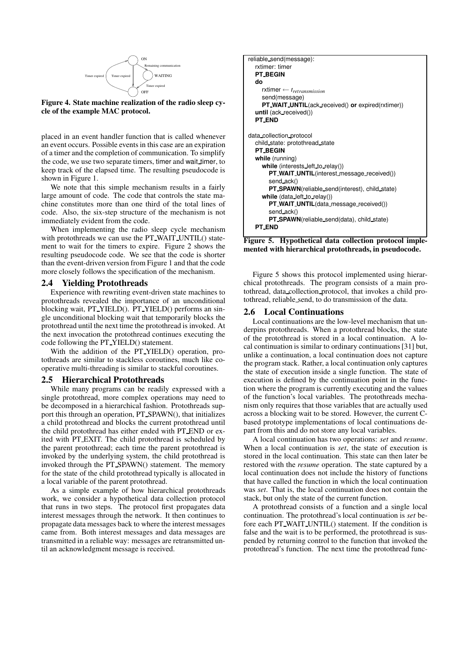

**Figure 4. State machine realization of the radio sleep cycle of the example MAC protocol.**

placed in an event handler function that is called whenever an event occurs. Possible events in this case are an expiration of a timer and the completion of communication. To simplify the code, we use two separate timers, timer and wait timer, to keep track of the elapsed time. The resulting pseudocode is shown in Figure 1.

We note that this simple mechanism results in a fairly large amount of code. The code that controls the state machine constitutes more than one third of the total lines of code. Also, the six-step structure of the mechanism is not immediately evident from the code.

When implementing the radio sleep cycle mechanism with protothreads we can use the PT\_WAIT\_UNTIL() statement to wait for the timers to expire. Figure 2 shows the resulting pseudocode code. We see that the code is shorter than the event-driven version from Figure 1 and that the code more closely follows the specification of the mechanism.

# **2.4 Yielding Protothreads**

Experience with rewriting event-driven state machines to protothreads revealed the importance of an unconditional blocking wait, PT YIELD(). PT YIELD() performs an single unconditional blocking wait that temporarily blocks the protothread until the next time the protothread is invoked. At the next invocation the protothread continues executing the code following the PT YIELD() statement.

With the addition of the PT YIELD() operation, protothreads are similar to stackless coroutines, much like cooperative multi-threading is similar to stackful coroutines.

# **2.5 Hierarchical Protothreads**

While many programs can be readily expressed with a single protothread, more complex operations may need to be decomposed in a hierarchical fashion. Protothreads support this through an operation, PT SPAWN(), that initializes a child protothread and blocks the current protothread until the child protothread has either ended with PT END or exited with PT EXIT. The child protothread is scheduled by the parent protothread; each time the parent protothread is invoked by the underlying system, the child protothread is invoked through the PT SPAWN() statement. The memory for the state of the child protothread typically is allocated in a local variable of the parent protothread.

As a simple example of how hierarchical protothreads work, we consider a hypothetical data collection protocol that runs in two steps. The protocol first propagates data interest messages through the network. It then continues to propagate data messages back to where the interest messages came from. Both interest messages and data messages are transmitted in a reliable way: messages are retransmitted until an acknowledgment message is received.



**Figure 5. Hypothetical data collection protocol implemented with hierarchical protothreads, in pseudocode.**

Figure 5 shows this protocol implemented using hierarchical protothreads. The program consists of a main protothread, data collection protocol, that invokes a child protothread, reliable send, to do transmission of the data.

## **2.6 Local Continuations**

Local continuations are the low-level mechanism that underpins protothreads. When a protothread blocks, the state of the protothread is stored in a local continuation. A local continuation is similar to ordinary continuations[31] but, unlike a continuation, a local continuation does not capture the program stack. Rather, a local continuation only captures the state of execution inside a single function. The state of execution is defined by the continuation point in the function where the program is currently executing and the values of the function's local variables. The protothreads mechanism only requires that those variables that are actually used across a blocking wait to be stored. However, the current Cbased prototype implementations of local continuations depart from this and do not store any local variables.

A local continuation has two operations: *set* and *resume*. When a local continuation is *set*, the state of execution is stored in the local continuation. This state can then later be restored with the *resume* operation. The state captured by a local continuation does not include the history of functions that have called the function in which the local continuation was *set*. That is, the local continuation does not contain the stack, but only the state of the current function.

A protothread consists of a function and a single local continuation. The protothread's local continuation is *set* before each PT WAIT UNTIL() statement. If the condition is false and the wait is to be performed, the protothread is suspended by returning control to the function that invoked the protothread's function. The next time the protothread func-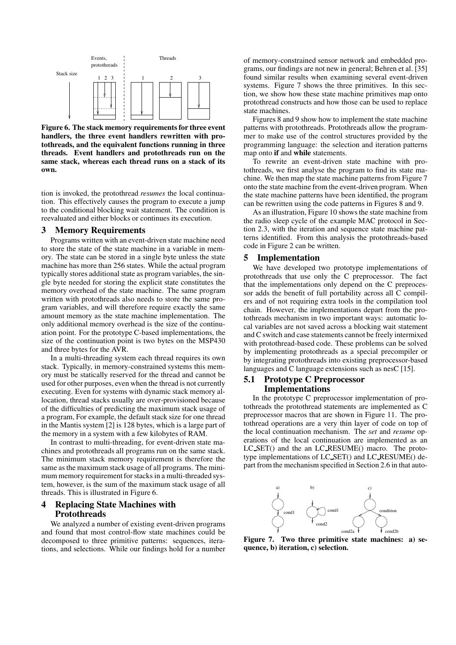

**Figure 6. The stack memory requirements for three event handlers, the three event handlers rewritten with protothreads, and the equivalent functions running in three threads. Event handlers and protothreads run on the same stack, whereas each thread runs on a stack of its own.**

tion is invoked, the protothread *resumes* the local continuation. This effectively causes the program to execute a jump to the conditional blocking wait statement. The condition is reevaluated and either blocks or continues its execution.

#### **3 Memory Requirements**

Programs written with an event-driven state machine need to store the state of the state machine in a variable in memory. The state can be stored in a single byte unless the state machine has more than 256 states. While the actual program typically stores additional state as program variables, the single byte needed for storing the explicit state constitutes the memory overhead of the state machine. The same program written with protothreads also needs to store the same program variables, and will therefore require exactly the same amount memory as the state machine implementation. The only additional memory overhead is the size of the continuation point. For the prototype C-based implementations, the size of the continuation point is two bytes on the MSP430 and three bytes for the AVR.

In a multi-threading system each thread requires its own stack. Typically, in memory-constrained systems this memory must be statically reserved for the thread and cannot be used for other purposes, even when the thread is not currently executing. Even for systems with dynamic stack memory allocation, thread stacks usually are over-provisioned because of the difficulties of predicting the maximum stack usage of a program, For example, the default stack size for one thread in the Mantis system [2] is 128 bytes, which is a large part of the memory in a system with a few kilobytes of RAM.

In contrast to multi-threading, for event-driven state machines and protothreads all programs run on the same stack. The minimum stack memory requirement is therefore the same as the maximum stack usage of all programs. The minimum memory requirement for stacks in a multi-threaded system, however, is the sum of the maximum stack usage of all threads. This is illustrated in Figure 6.

# **4 Replacing State Machines with Protothreads**

We analyzed a number of existing event-driven programs and found that most control-flow state machines could be decomposed to three primitive patterns: sequences, iterations, and selections. While our findings hold for a number

of memory-constrained sensor network and embedded programs, our findings are not new in general; Behren et al. [35] found similar results when examining several event-driven systems. Figure 7 shows the three primitives. In this section, we show how these state machine primitives map onto protothread constructs and how those can be used to replace state machines.

Figures 8 and 9 show how to implement the state machine patterns with protothreads. Protothreads allow the programmer to make use of the control structures provided by the programming language: the selection and iteration patterns map onto **if** and **while** statements.

To rewrite an event-driven state machine with protothreads, we first analyse the program to find its state machine. We then map the state machine patterns from Figure 7 onto the state machine from the event-driven program. When the state machine patterns have been identified, the program can be rewritten using the code patterns in Figures 8 and 9.

As an illustration, Figure 10 shows the state machine from the radio sleep cycle of the example MAC protocol in Section 2.3, with the iteration and sequence state machine patterns identified. From this analysis the protothreads-based code in Figure 2 can be written.

#### **5 Implementation**

We have developed two prototype implementations of protothreads that use only the C preprocessor. The fact that the implementations only depend on the C preprocessor adds the benefit of full portability across all C compilers and of not requiring extra tools in the compilation tool chain. However, the implementations depart from the protothreads mechanism in two important ways: automatic local variables are not saved across a blocking wait statement and C switch and case statements cannot be freely intermixed with protothread-based code. These problems can be solved by implementing protothreads as a special precompiler or by integrating protothreads into existing preprocessor-based languages and C language extensions such as nesC [15].

## **5.1 Prototype C Preprocessor Implementations**

In the prototype C preprocessor implementation of protothreads the protothread statements are implemented as C preprocessor macros that are shown in Figure 11. The protothread operations are a very thin layer of code on top of the local continuation mechanism. The *set* and *resume* operations of the local continuation are implemented as an LC SET() and the an LC RESUME() macro. The prototype implementations of LC SET() and LC RESUME() depart from the mechanism specified in Section 2.6 in that auto-



**Figure 7. Two three primitive state machines: a) sequence, b) iteration, c) selection.**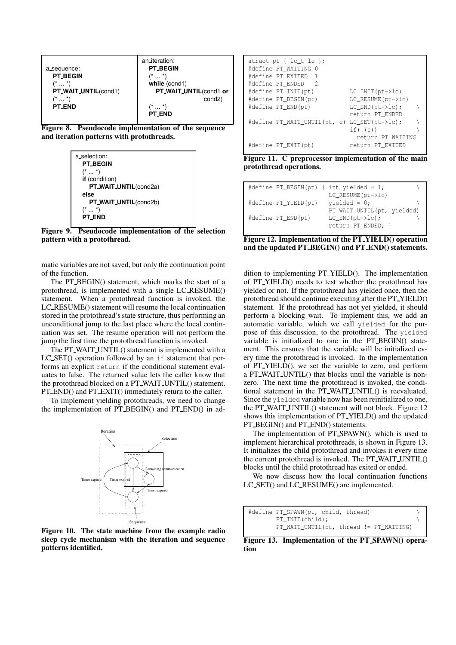

**Figure 8. Pseudocode implementation of the sequence and iteration patterns with protothreads.**



**Figure 9. Pseudocode implementation of the selection pattern with a protothread.**

matic variables are not saved, but only the continuation point of the function.

The PT BEGIN() statement, which marks the start of a protothread, is implemented with a single LC RESUME() statement. When a protothread function is invoked, the LC RESUME() statement will resume the local continuation stored in the protothread's state structure, thus performing an unconditional jump to the last place where the local continuation was set. The resume operation will not perform the jump the first time the protothread function is invoked.

The PT WAIT UNTIL() statement is implemented with a LC\_SET() operation followed by an if statement that performs an explicit return if the conditional statement evaluates to false. The returned value lets the caller know that the protothread blocked on a PT WAIT UNTIL() statement. PT\_END() and PT\_EXIT() immediately return to the caller.

To implement yielding protothreads, we need to change the implementation of PT BEGIN() and PT END() in ad-



**Figure 10. The state machine from the example radio sleep cycle mechanism with the iteration and sequence patterns identified.**

| struct pt { $lc_t$ $lc$ };                   |                            |
|----------------------------------------------|----------------------------|
| #define PT WAITING 0                         |                            |
| #define PT EXITED<br>$\overline{1}$          |                            |
| #define PT ENDED 2                           |                            |
| #define PT_INIT(pt)                          | $LC$ INIT( $pt$ -> $lc$ )  |
| #define PT_BEGIN(pt)                         | $LC$ _RESUME $(pt->lc)$    |
| #define PT_END(pt)                           | $LC$ END ( $pt$ -> $lc$ ); |
|                                              | return PT ENDED            |
| #define PT_WAIT_UNTIL(pt, c) LC_SET(pt->lc); |                            |
|                                              | if(!(c))                   |
|                                              | return PT_WAITING          |
| #define PT_EXIT(pt)                          | return PT EXITED           |
|                                              |                            |

**Figure 11. C preprocessor implementation of the main protothread operations.**

| #define PT_BEGIN(pt) { | int yielded = $1$ ;                                   |
|------------------------|-------------------------------------------------------|
| #define PT_YIELD(pt)   | $LC$ RESUME ( $pt$ -> $lc$ )<br>yielded = $0$ ;       |
| #define PT_END(pt)     | PT_WAIT_UNTIL(pt, yielded)<br>$LC$ $END$ $(pt->lc)$ ; |
|                        | return PT ENDED; }                                    |

**Figure 12. Implementation of the PT YIELD() operation and the updated PT BEGIN() and PT END() statements.**

dition to implementing PT YIELD(). The implementation of PT YIELD() needs to test whether the protothread has yielded or not. If the protothread has yielded once, then the protothread should continue executing after the PT YIELD() statement. If the protothread has not yet yielded, it should perform a blocking wait. To implement this, we add an automatic variable, which we call yielded for the purpose of this discussion, to the protothread. The yielded variable is initialized to one in the PT BEGIN() statement. This ensures that the variable will be initialized every time the protothread is invoked. In the implementation of PT YIELD(), we set the variable to zero, and perform a PT WAIT UNTIL() that blocks until the variable is nonzero. The next time the protothread is invoked, the conditional statement in the PT WAIT UNTIL() is reevaluated. Since the yielded variable now has been reinitialized to one, the PT WAIT UNTIL() statement will not block. Figure 12 shows this implementation of PT YIELD() and the updated PT BEGIN() and PT END() statements.

The implementation of PT SPAWN(), which is used to implement hierarchical protothreads, is shown in Figure 13. It initializes the child protothread and invokes it every time the current protothread is invoked. The PT WAIT UNTIL() blocks until the child protothread has exited or ended.

We now discuss how the local continuation functions LC SET() and LC RESUME() are implemented.

```
#define PT_SPAWN(pt, child, thread)
       PT_INIT(child); \
        PT_WAIT_UNTIL(pt, thread != PT_WAITING)
```
**Figure 13. Implementation of the PT SPAWN() operation**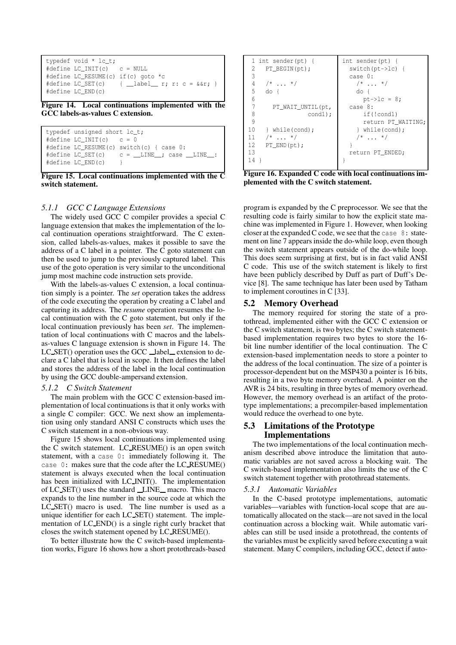```
typedef void * lc_t;
#define LC_INIT(c) c = NULL
#define LC_RESUME(c) if(c) goto *c
#define LC_SET(c) { __label__ r; r: c = &&r; }
#define LC_END(c)
```
**Figure 14. Local continuations implemented with the GCC labels-as-values C extension.**

```
typedef unsigned short lc t;
#define LC_INIT(c) c = 0#define LC_RESUME(c) switch(c) { case 0:
\# \text{define LC\_SET}(c)   c = \_LINE<sub>_;</sub> case \_LINE_;
#define LC_END(c) }
```
**Figure 15. Local continuations implemented with the C switch statement.**

## *5.1.1 GCC C Language Extensions*

The widely used GCC C compiler provides a special C language extension that makes the implementation of the local continuation operations straightforward. The C extension, called labels-as-values, makes it possible to save the address of a C label in a pointer. The C goto statement can then be used to jump to the previously captured label. This use of the goto operation is very similar to the unconditional jump most machine code instruction sets provide.

With the labels-as-values C extension, a local continuation simply is a pointer. The *set* operation takes the address of the code executing the operation by creating a C label and capturing its address. The *resume* operation resumes the local continuation with the C goto statement, but only if the local continuation previously has been *set*. The implementation of local continuations with C macros and the labelsas-values C language extension is shown in Figure 14. The  $LC$  SET() operation uses the GCC  $\_\$ label  $\_\$ extension to declare a C label that is local in scope. It then defines the label and stores the address of the label in the local continuation by using the GCC double-ampersand extension.

# *5.1.2 C Switch Statement*

The main problem with the GCC C extension-based implementation of local continuations is that it only works with a single C compiler: GCC. We next show an implementation using only standard ANSI C constructs which uses the C switch statement in a non-obvious way.

Figure 15 shows local continuations implemented using the C switch statement. LC RESUME() is an open switch statement, with a case 0: immediately following it. The case 0: makes sure that the code after the LC RESUME() statement is always executed when the local continuation has been initialized with LC\_INIT(). The implementation of LC\_SET() uses the standard \_LINE \_ macro. This macro expands to the line number in the source code at which the LC SET() macro is used. The line number is used as a unique identifier for each LC SET() statement. The implementation of LC END() is a single right curly bracket that closes the switch statement opened by LC RESUME().

To better illustrate how the C switch-based implementation works, Figure 16 shows how a short protothreads-based

| 1 int sender(pt) {                                                                                                                                                                                                                                                                                                        | $int sender(pt)$ { |
|---------------------------------------------------------------------------------------------------------------------------------------------------------------------------------------------------------------------------------------------------------------------------------------------------------------------------|--------------------|
| 2<br>PT BEGIN(pt);                                                                                                                                                                                                                                                                                                        | $switch(pt->lc)$ { |
| 3                                                                                                                                                                                                                                                                                                                         | case 0:            |
| 4<br>$\frac{1}{2}$ $\frac{1}{2}$                                                                                                                                                                                                                                                                                          | $/* \dots */$      |
| 5<br>do {                                                                                                                                                                                                                                                                                                                 | do {               |
| 6                                                                                                                                                                                                                                                                                                                         | $pt->lc = 8;$      |
| 7<br>PT_WAIT_UNTIL(pt,                                                                                                                                                                                                                                                                                                    | case 8:            |
| 8<br>$cond1)$ ;                                                                                                                                                                                                                                                                                                           | if (!cond1)        |
| 9                                                                                                                                                                                                                                                                                                                         | return PT WAITING; |
| 10<br>} while(cond);                                                                                                                                                                                                                                                                                                      | } while(cond);     |
| 11<br>$\frac{1}{2}$ $\frac{1}{2}$ $\frac{1}{2}$ $\frac{1}{2}$ $\frac{1}{2}$ $\frac{1}{2}$ $\frac{1}{2}$ $\frac{1}{2}$ $\frac{1}{2}$ $\frac{1}{2}$ $\frac{1}{2}$ $\frac{1}{2}$ $\frac{1}{2}$ $\frac{1}{2}$ $\frac{1}{2}$ $\frac{1}{2}$ $\frac{1}{2}$ $\frac{1}{2}$ $\frac{1}{2}$ $\frac{1}{2}$ $\frac{1}{2}$ $\frac{1}{2}$ | $/* \dots */$      |
| 12.<br>$PT$ _END(pt);                                                                                                                                                                                                                                                                                                     |                    |
| 13                                                                                                                                                                                                                                                                                                                        | return PT ENDED;   |
| 14                                                                                                                                                                                                                                                                                                                        |                    |
|                                                                                                                                                                                                                                                                                                                           |                    |

**Figure 16. Expanded C code with local continuations implemented with the C switch statement.**

program is expanded by the C preprocessor. We see that the resulting code is fairly similar to how the explicit state machine was implemented in Figure 1. However, when looking closer at the expanded C code, we see that the case  $8:$  statement on line 7 appears inside the do-while loop, even though the switch statement appears outside of the do-while loop. This does seem surprising at first, but is in fact valid ANSI C code. This use of the switch statement is likely to first have been publicly described by Duff as part of Duff's Device [8]. The same technique has later been used by Tatham to implement coroutines in C [33].

# **5.2 Memory Overhead**

The memory required for storing the state of a protothread, implemented either with the GCC C extension or the C switch statement, is two bytes; the C switch statementbased implementation requires two bytes to store the 16 bit line number identifier of the local continuation. The C extension-based implementation needs to store a pointer to the address of the local continuation. The size of a pointer is processor-dependent but on the MSP430 a pointer is 16 bits, resulting in a two byte memory overhead. A pointer on the AVR is 24 bits, resulting in three bytes of memory overhead. However, the memory overhead is an artifact of the prototype implementations; a precompiler-based implementation would reduce the overhead to one byte.

# **5.3 Limitations of the Prototype Implementations**

The two implementations of the local continuation mechanism described above introduce the limitation that automatic variables are not saved across a blocking wait. The C switch-based implementation also limits the use of the C switch statement together with protothread statements.

#### *5.3.1 Automatic Variables*

In the C-based prototype implementations, automatic variables—variables with function-local scope that are automatically allocated on the stack—are not saved in the local continuation across a blocking wait. While automatic variables can still be used inside a protothread, the contents of the variables must be explicitly saved before executing a wait statement. Many C compilers, including GCC, detect if auto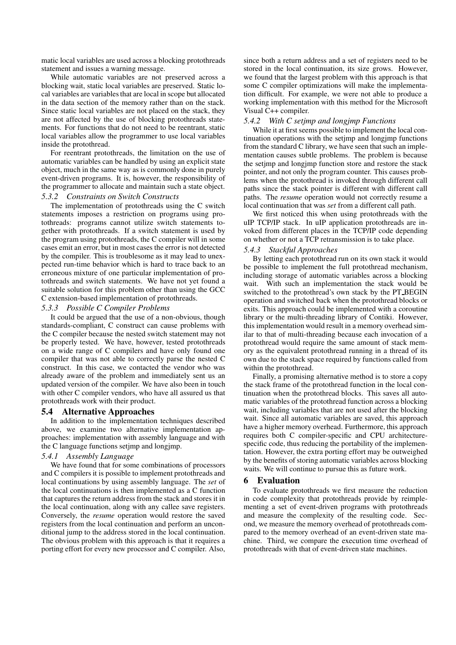matic local variables are used across a blocking protothreads statement and issues a warning message.

While automatic variables are not preserved across a blocking wait, static local variables are preserved. Static local variables are variables that are local in scope but allocated in the data section of the memory rather than on the stack. Since static local variables are not placed on the stack, they are not affected by the use of blocking protothreads statements. For functions that do not need to be reentrant, static local variables allow the programmer to use local variables inside the protothread.

For reentrant protothreads, the limitation on the use of automatic variables can be handled by using an explicit state object, much in the same way as is commonly done in purely event-driven programs. It is, however, the responsibility of the programmer to allocate and maintain such a state object.

## *5.3.2 Constraints on Switch Constructs*

The implementation of protothreads using the C switch statements imposes a restriction on programs using protothreads: programs cannot utilize switch statements together with protothreads. If a switch statement is used by the program using protothreads, the C compiler will in some cases emit an error, but in most cases the error is not detected by the compiler. This is troublesome as it may lead to unexpected run-time behavior which is hard to trace back to an erroneous mixture of one particular implementation of protothreads and switch statements. We have not yet found a suitable solution for this problem other than using the GCC C extension-based implementation of protothreads.

## *5.3.3 Possible C Compiler Problems*

It could be argued that the use of a non-obvious, though standards-compliant, C construct can cause problems with the C compiler because the nested switch statement may not be properly tested. We have, however, tested protothreads on a wide range of C compilers and have only found one compiler that was not able to correctly parse the nested C construct. In this case, we contacted the vendor who was already aware of the problem and immediately sent us an updated version of the compiler. We have also been in touch with other C compiler vendors, who have all assured us that protothreads work with their product.

#### **5.4 Alternative Approaches**

In addition to the implementation techniques described above, we examine two alternative implementation approaches: implementation with assembly language and with the C language functions setjmp and longjmp.

# *5.4.1 Assembly Language*

We have found that for some combinations of processors and C compilers it is possible to implement protothreads and local continuations by using assembly language. The *set* of the local continuations is then implemented as a C function that captures the return address from the stack and stores it in the local continuation, along with any callee save registers. Conversely, the *resume* operation would restore the saved registers from the local continuation and perform an unconditional jump to the address stored in the local continuation. The obvious problem with this approach is that it requires a porting effort for every new processor and C compiler. Also,

since both a return address and a set of registers need to be stored in the local continuation, its size grows. However, we found that the largest problem with this approach is that some C compiler optimizations will make the implementation difficult. For example, we were not able to produce a working implementation with this method for the Microsoft Visual C++ compiler.

# *5.4.2 With C setjmp and longjmp Functions*

While it at first seems possible to implement the local continuation operations with the setjmp and longjmp functions from the standard C library, we have seen that such an implementation causes subtle problems. The problem is because the setjmp and longjmp function store and restore the stack pointer, and not only the program counter. This causes problems when the protothread is invoked through different call paths since the stack pointer is different with different call paths. The *resume* operation would not correctly resume a local continuation that was *set* from a different call path.

We first noticed this when using protothreads with the uIP TCP/IP stack. In uIP application protothreads are invoked from different places in the TCP/IP code depending on whether or not a TCP retransmission is to take place.

#### *5.4.3 Stackful Approaches*

By letting each protothread run on its own stack it would be possible to implement the full protothread mechanism, including storage of automatic variables across a blocking wait. With such an implementation the stack would be switched to the protothread's own stack by the PT BEGIN operation and switched back when the protothread blocks or exits. This approach could be implemented with a coroutine library or the multi-threading library of Contiki. However, this implementation would result in a memory overhead similar to that of multi-threading because each invocation of a protothread would require the same amount of stack memory as the equivalent protothread running in a thread of its own due to the stack space required by functions called from within the protothread.

Finally, a promising alternative method is to store a copy the stack frame of the protothread function in the local continuation when the protothread blocks. This saves all automatic variables of the protothread function across a blocking wait, including variables that are not used after the blocking wait. Since all automatic variables are saved, this approach have a higher memory overhead. Furthermore, this approach requires both C compiler-specific and CPU architecturespecific code, thus reducing the portability of the implementation. However, the extra porting effort may be outweighed by the benefits of storing automatic variables across blocking waits. We will continue to pursue this as future work.

#### **6 Evaluation**

To evaluate protothreads we first measure the reduction in code complexity that protothreads provide by reimplementing a set of event-driven programs with protothreads and measure the complexity of the resulting code. Second, we measure the memory overhead of protothreads compared to the memory overhead of an event-driven state machine. Third, we compare the execution time overhead of protothreads with that of event-driven state machines.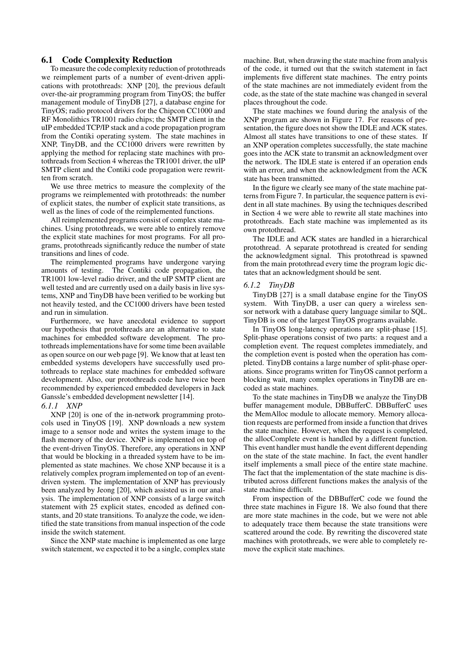#### **6.1 Code Complexity Reduction**

To measure the code complexity reduction of protothreads we reimplement parts of a number of event-driven applications with protothreads: XNP [20], the previous default over-the-air programming program from TinyOS; the buffer management module of TinyDB [27], a database engine for TinyOS; radio protocol drivers for the Chipcon CC1000 and RF Monolithics TR1001 radio chips; the SMTP client in the uIP embedded TCP/IP stack and a code propagation program from the Contiki operating system. The state machines in XNP, TinyDB, and the CC1000 drivers were rewritten by applying the method for replacing state machines with protothreads from Section 4 whereas the TR1001 driver, the uIP SMTP client and the Contiki code propagation were rewritten from scratch.

We use three metrics to measure the complexity of the programs we reimplemented with protothreads: the number of explicit states, the number of explicit state transitions, as well as the lines of code of the reimplemented functions.

All reimplemented programs consist of complex state machines. Using protothreads, we were able to entirely remove the explicit state machines for most programs. For all programs, protothreads significantly reduce the number of state transitions and lines of code.

The reimplemented programs have undergone varying amounts of testing. The Contiki code propagation, the TR1001 low-level radio driver, and the uIP SMTP client are well tested and are currently used on a daily basis in live systems, XNP and TinyDB have been verified to be working but not heavily tested, and the CC1000 drivers have been tested and run in simulation.

Furthermore, we have anecdotal evidence to support our hypothesis that protothreads are an alternative to state machines for embedded software development. The protothreadsimplementations have forsome time been available as open source on our web page [9]. We know that at least ten embedded systems developers have successfully used protothreads to replace state machines for embedded software development. Also, our protothreads code have twice been recommended by experienced embedded developers in Jack Ganssle's embedded development newsletter [14].

*6.1.1 XNP*

XNP [20] is one of the in-network programming protocols used in TinyOS [19]. XNP downloads a new system image to a sensor node and writes the system image to the flash memory of the device. XNP is implemented on top of the event-driven TinyOS. Therefore, any operations in XNP that would be blocking in a threaded system have to be implemented as state machines. We chose XNP because it is a relatively complex program implemented on top of an eventdriven system. The implementation of XNP has previously been analyzed by Jeong [20], which assisted us in our analysis. The implementation of XNP consists of a large switch statement with 25 explicit states, encoded as defined constants, and 20 state transitions. To analyze the code, we identified the state transitions from manual inspection of the code inside the switch statement.

Since the XNP state machine is implemented as one large switch statement, we expected it to be a single, complex state machine. But, when drawing the state machine from analysis of the code, it turned out that the switch statement in fact implements five different state machines. The entry points of the state machines are not immediately evident from the code, as the state of the state machine was changed in several places throughout the code.

The state machines we found during the analysis of the XNP program are shown in Figure 17. For reasons of presentation, the figure does not show the IDLE and ACK states. Almost all states have transitions to one of these states. If an XNP operation completes successfully, the state machine goes into the ACK state to transmit an acknowledgment over the network. The IDLE state is entered if an operation ends with an error, and when the acknowledgment from the ACK state has been transmitted.

In the figure we clearly see many of the state machine patterns from Figure 7. In particular, the sequence pattern is evident in all state machines. By using the techniques described in Section 4 we were able to rewrite all state machines into protothreads. Each state machine was implemented as its own protothread.

The IDLE and ACK states are handled in a hierarchical protothread. A separate protothread is created for sending the acknowledgment signal. This protothread is spawned from the main protothread every time the program logic dictates that an acknowledgment should be sent.

#### *6.1.2 TinyDB*

TinyDB [27] is a small database engine for the TinyOS system. With TinyDB, a user can query a wireless sensor network with a database query language similar to SQL. TinyDB is one of the largest TinyOS programs available.

In TinyOS long-latency operations are split-phase [15]. Split-phase operations consist of two parts: a request and a completion event. The request completes immediately, and the completion event is posted when the operation has completed. TinyDB contains a large number of split-phase operations. Since programs written for TinyOS cannot perform a blocking wait, many complex operations in TinyDB are encoded as state machines.

To the state machines in TinyDB we analyze the TinyDB buffer management module, DBBufferC. DBBufferC uses the MemAlloc module to allocate memory. Memory allocation requests are performed from inside a function that drives the state machine. However, when the request is completed, the allocComplete event is handled by a different function. This event handler must handle the event different depending on the state of the state machine. In fact, the event handler itself implements a small piece of the entire state machine. The fact that the implementation of the state machine is distributed across different functions makes the analysis of the state machine difficult.

From inspection of the DBBufferC code we found the three state machines in Figure 18. We also found that there are more state machines in the code, but we were not able to adequately trace them because the state transitions were scattered around the code. By rewriting the discovered state machines with protothreads, we were able to completely remove the explicit state machines.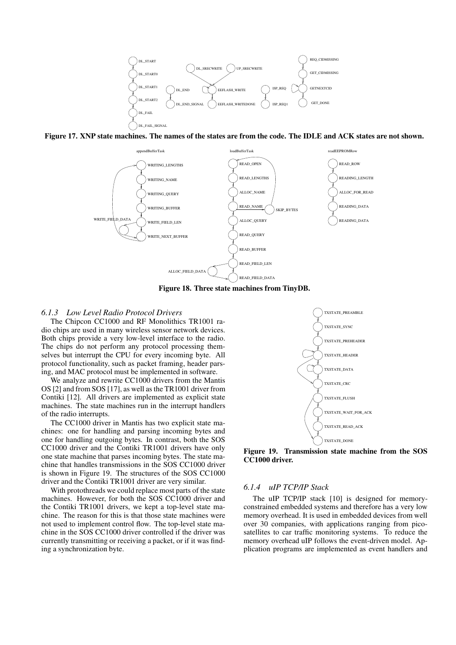

Figure 17. XNP state machines. The names of the states are from the code. The IDLE and ACK states are not shown.



**Figure 18. Three state machines from TinyDB.**

#### *6.1.3 Low Level Radio Protocol Drivers*

The Chipcon CC1000 and RF Monolithics TR1001 radio chips are used in many wireless sensor network devices. Both chips provide a very low-level interface to the radio. The chips do not perform any protocol processing themselves but interrupt the CPU for every incoming byte. All protocol functionality, such as packet framing, header parsing, and MAC protocol must be implemented in software.

We analyze and rewrite CC1000 drivers from the Mantis OS [2] and from SOS [17], as well as the TR1001 driver from Contiki [12]. All drivers are implemented as explicit state machines. The state machines run in the interrupt handlers of the radio interrupts.

The CC1000 driver in Mantis has two explicit state machines: one for handling and parsing incoming bytes and one for handling outgoing bytes. In contrast, both the SOS CC1000 driver and the Contiki TR1001 drivers have only one state machine that parses incoming bytes. The state machine that handles transmissions in the SOS CC1000 driver is shown in Figure 19. The structures of the SOS CC1000 driver and the Contiki TR1001 driver are very similar.

With protothreads we could replace most parts of the state machines. However, for both the SOS CC1000 driver and the Contiki TR1001 drivers, we kept a top-level state machine. The reason for this is that those state machines were not used to implement control flow. The top-level state machine in the SOS CC1000 driver controlled if the driver was currently transmitting or receiving a packet, or if it was finding a synchronization byte.



**Figure 19. Transmission state machine from the SOS CC1000 driver.**

## *6.1.4 uIP TCP/IP Stack*

The uIP TCP/IP stack [10] is designed for memoryconstrained embedded systems and therefore has a very low memory overhead. It is used in embedded devices from well over 30 companies, with applications ranging from picosatellites to car traffic monitoring systems. To reduce the memory overhead uIP follows the event-driven model. Application programs are implemented as event handlers and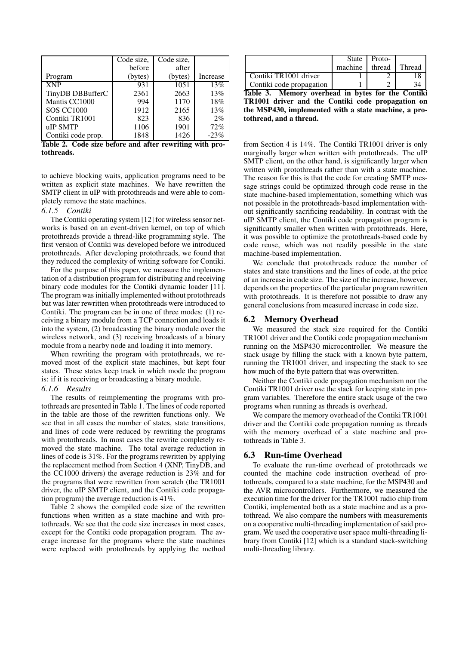|                    | Code size, | Code size, |          |
|--------------------|------------|------------|----------|
|                    | before     | after      |          |
| Program            | (bytes)    | (bytes)    | Increase |
| <b>XNP</b>         | 931        | 1051       | 13%      |
| TinyDB DBBufferC   | 2361       | 2663       | 13%      |
| Mantis CC1000      | 994        | 1170       | 18%      |
| <b>SOS CC1000</b>  | 1912       | 2165       | 13%      |
| Contiki TR1001     | 823        | 836        | 2%       |
| uIP SMTP           | 1106       | 1901       | 72%      |
| Contiki code prop. | 1848       | 1426       | $-23%$   |

**Table 2. Code size before and after rewriting with protothreads.**

to achieve blocking waits, application programs need to be written as explicit state machines. We have rewritten the SMTP client in uIP with protothreads and were able to completely remove the state machines.

## *6.1.5 Contiki*

The Contiki operating system [12] for wireless sensor networks is based on an event-driven kernel, on top of which protothreads provide a thread-like programming style. The first version of Contiki was developed before we introduced protothreads. After developing protothreads, we found that they reduced the complexity of writing software for Contiki.

For the purpose of this paper, we measure the implementation of a distribution program for distributing and receiving binary code modules for the Contiki dynamic loader [11]. The program was initially implemented without protothreads but was later rewritten when protothreads were introduced to Contiki. The program can be in one of three modes: (1) receiving a binary module from a TCP connection and loads it into the system, (2) broadcasting the binary module over the wireless network, and (3) receiving broadcasts of a binary module from a nearby node and loading it into memory.

When rewriting the program with protothreads, we removed most of the explicit state machines, but kept four states. These states keep track in which mode the program is: if it is receiving or broadcasting a binary module.

#### *6.1.6 Results*

The results of reimplementing the programs with protothreads are presented in Table 1. The lines of code reported in the table are those of the rewritten functions only. We see that in all cases the number of states, state transitions, and lines of code were reduced by rewriting the programs with protothreads. In most cases the rewrite completely removed the state machine. The total average reduction in lines of code is 31%. For the programs rewritten by applying the replacement method from Section 4 (XNP, TinyDB, and the CC1000 drivers) the average reduction is 23% and for the programs that were rewritten from scratch (the TR1001 driver, the uIP SMTP client, and the Contiki code propagation program) the average reduction is 41%.

Table 2 shows the compiled code size of the rewritten functions when written as a state machine and with protothreads. We see that the code size increases in most cases, except for the Contiki code propagation program. The average increase for the programs where the state machines were replaced with protothreads by applying the method

|                          | State   | Proto- |               |
|--------------------------|---------|--------|---------------|
|                          | machine |        | thread Thread |
| Contiki TR1001 driver    |         |        |               |
| Contiki code propagation |         |        |               |

**Table 3. Memory overhead in bytes for the Contiki TR1001 driver and the Contiki code propagation on the MSP430, implemented with a state machine, a protothread, and a thread.**

from Section 4 is 14%. The Contiki TR1001 driver is only marginally larger when written with protothreads. The uIP SMTP client, on the other hand, is significantly larger when written with protothreads rather than with a state machine. The reason for this is that the code for creating SMTP message strings could be optimized through code reuse in the state machine-based implementation, something which was not possible in the protothreads-based implementation without significantly sacrificing readability. In contrast with the uIP SMTP client, the Contiki code propagation program is significantly smaller when written with protothreads. Here, it was possible to optimize the protothreads-based code by code reuse, which was not readily possible in the state machine-based implementation.

We conclude that protothreads reduce the number of states and state transitions and the lines of code, at the price of an increase in code size. The size of the increase, however, depends on the properties of the particular program rewritten with protothreads. It is therefore not possible to draw any general conclusions from measured increase in code size.

# **6.2 Memory Overhead**

We measured the stack size required for the Contiki TR1001 driver and the Contiki code propagation mechanism running on the MSP430 microcontroller. We measure the stack usage by filling the stack with a known byte pattern, running the TR1001 driver, and inspecting the stack to see how much of the byte pattern that was overwritten.

Neither the Contiki code propagation mechanism nor the Contiki TR1001 driver use the stack for keeping state in program variables. Therefore the entire stack usage of the two programs when running as threads is overhead.

We compare the memory overhead of the Contiki TR1001 driver and the Contiki code propagation running as threads with the memory overhead of a state machine and protothreads in Table 3.

# **6.3 Run-time Overhead**

To evaluate the run-time overhead of protothreads we counted the machine code instruction overhead of protothreads, compared to a state machine, for the MSP430 and the AVR microcontrollers. Furthermore, we measured the execution time for the driver for the TR1001 radio chip from Contiki, implemented both as a state machine and as a protothread. We also compare the numbers with measurements on a cooperative multi-threading implementation of said program. We used the cooperative user space multi-threading library from Contiki [12] which is a standard stack-switching multi-threading library.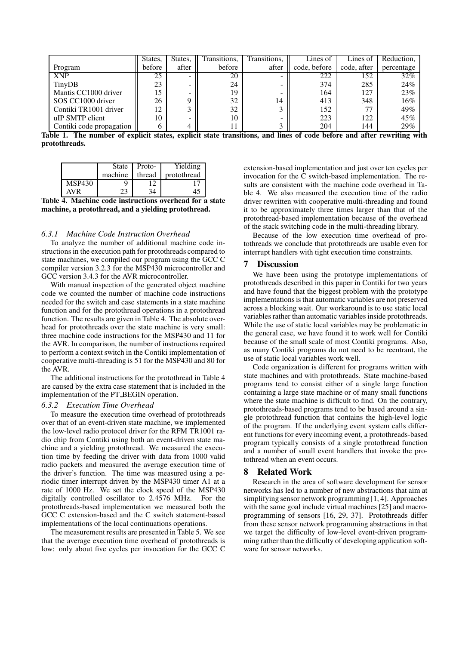|                          | States, | States, | Transitions, | Transitions, | Lines of     | Lines of    | Reduction, |
|--------------------------|---------|---------|--------------|--------------|--------------|-------------|------------|
| Program                  | before  | after   | before       | after        | code, before | code, after | percentage |
| <b>XNP</b>               | 25      | -       | 20           |              | 222          | 152         | 32%        |
| TinyDB                   | 23      | -       | 24           |              | 374          | 285         | 24%        |
| Mantis CC1000 driver     | 15      |         | 19           |              | 164          | 127         | 23%        |
| SOS CC1000 driver        | 26      |         | 32           | 14           | 413          | 348         | 16%        |
| Contiki TR1001 driver    | 12      |         | 32           |              | 152          | 77          | 49%        |
| uIP SMTP client          | 10      |         | 10           |              | 223          | 122         | 45%        |
| Contiki code propagation | 6       |         |              |              | 204          | 144         | 29%        |

Table 1. The number of explicit states, explicit state transitions, and lines of code before and after rewriting with **protothreads.**

|               | State   | Proto- | Yielding    |
|---------------|---------|--------|-------------|
|               | machine | thread | protothread |
| <b>MSP430</b> |         |        |             |
| AV R          | 23      |        | 1.          |

**Table 4. Machine code instructions overhead for a state machine, a protothread, and a yielding protothread.**

#### *6.3.1 Machine Code Instruction Overhead*

To analyze the number of additional machine code instructions in the execution path for protothreads compared to state machines, we compiled our program using the GCC C compiler version 3.2.3 for the MSP430 microcontroller and GCC version 3.4.3 for the AVR microcontroller.

With manual inspection of the generated object machine code we counted the number of machine code instructions needed for the switch and case statements in a state machine function and for the protothread operations in a protothread function. The results are given in Table 4. The absolute overhead for protothreads over the state machine is very small: three machine code instructions for the MSP430 and 11 for the AVR. In comparison, the number of instructions required to perform a context switch in the Contiki implementation of cooperative multi-threading is 51 for the MSP430 and 80 for the AVR.

The additional instructions for the protothread in Table 4 are caused by the extra case statement that is included in the implementation of the PT BEGIN operation.

#### *6.3.2 Execution Time Overhead*

To measure the execution time overhead of protothreads over that of an event-driven state machine, we implemented the low-level radio protocol driver for the RFM TR1001 radio chip from Contiki using both an event-driven state machine and a yielding protothread. We measured the execution time by feeding the driver with data from 1000 valid radio packets and measured the average execution time of the driver's function. The time was measured using a periodic timer interrupt driven by the MSP430 timer A1 at a rate of 1000 Hz. We set the clock speed of the MSP430 digitally controlled oscillator to 2.4576 MHz. For the protothreads-based implementation we measured both the GCC C extension-based and the C switch statement-based implementations of the local continuations operations.

The measurement results are presented in Table 5. We see that the average execution time overhead of protothreads is low: only about five cycles per invocation for the GCC C extension-based implementation and just over ten cycles per invocation for the C switch-based implementation. The results are consistent with the machine code overhead in Table 4. We also measured the execution time of the radio driver rewritten with cooperative multi-threading and found it to be approximately three times larger than that of the protothread-based implementation because of the overhead of the stack switching code in the multi-threading library.

Because of the low execution time overhead of protothreads we conclude that protothreads are usable even for interrupt handlers with tight execution time constraints.

### **7 Discussion**

We have been using the prototype implementations of protothreads described in this paper in Contiki for two years and have found that the biggest problem with the prototype implementations is that automatic variables are not preserved across a blocking wait. Our workaround is to use static local variables rather than automatic variables inside protothreads. While the use of static local variables may be problematic in the general case, we have found it to work well for Contiki because of the small scale of most Contiki programs. Also, as many Contiki programs do not need to be reentrant, the use of static local variables work well.

Code organization is different for programs written with state machines and with protothreads. State machine-based programs tend to consist either of a single large function containing a large state machine or of many small functions where the state machine is difficult to find. On the contrary, protothreads-based programs tend to be based around a single protothread function that contains the high-level logic of the program. If the underlying event system calls different functions for every incoming event, a protothreads-based program typically consists of a single protothread function and a number of small event handlers that invoke the protothread when an event occurs.

#### **8 Related Work**

Research in the area of software development for sensor networks has led to a number of new abstractions that aim at simplifying sensor network programming [1, 4]. Approaches with the same goal include virtual machines [25] and macroprogramming of sensors [16, 29, 37]. Protothreads differ from these sensor network programming abstractions in that we target the difficulty of low-level event-driven programming rather than the difficulty of developing application software for sensor networks.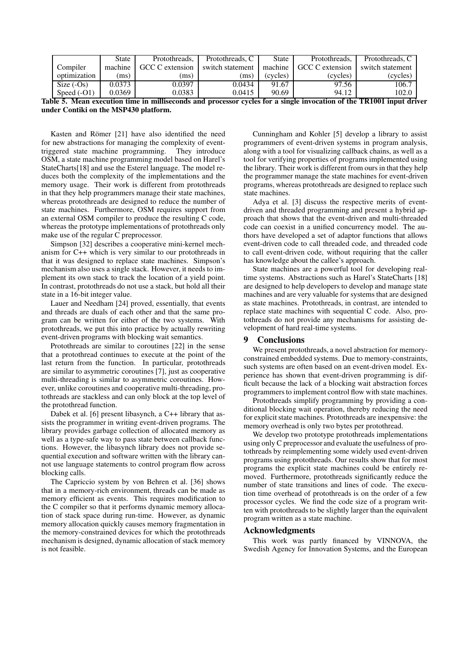|               | State   | Protothreads.          | Protothreads, C  | State    | Protothreads,   | Protothreads, C    |
|---------------|---------|------------------------|------------------|----------|-----------------|--------------------|
| Compiler      | machine | <b>GCC</b> C extension | switch statement | machine  | GCC C extension | switch statement   |
| optimization  | (ms)    | (ms)                   | (ms)             | (cycles) | (cycles)        | (cycles)           |
| Size $(-Os)$  | 9.0373  | ).0397                 | 0.0434           | 91.67    | 97.56           | $\overline{106.7}$ |
| Speed $(-O1)$ | 0.0369  | 0.0383                 | 0.0415           | 90.69    | 94.12           | 102.0              |

Table 5. Mean execution time in milliseconds and processor cycles for a single invocation of the TR1001 input driver **under Contiki on the MSP430 platform.**

Kasten and Römer [21] have also identified the need for new abstractions for managing the complexity of eventtriggered state machine programming. They introduce OSM, a state machine programming model based on Harel's StateCharts[18] and use the Esterel language. The model reduces both the complexity of the implementations and the memory usage. Their work is different from protothreads in that they help programmers manage their state machines, whereas protothreads are designed to reduce the number of state machines. Furthermore, OSM requires support from an external OSM compiler to produce the resulting C code, whereas the prototype implementations of protothreads only make use of the regular C preprocessor.

Simpson [32] describes a cooperative mini-kernel mechanism for C++ which is very similar to our protothreads in that it was designed to replace state machines. Simpson's mechanism also uses a single stack. However, it needs to implement its own stack to track the location of a yield point. In contrast, protothreads do not use a stack, but hold all their state in a 16-bit integer value.

Lauer and Needham [24] proved, essentially, that events and threads are duals of each other and that the same program can be written for either of the two systems. With protothreads, we put this into practice by actually rewriting event-driven programs with blocking wait semantics.

Protothreads are similar to coroutines [22] in the sense that a protothread continues to execute at the point of the last return from the function. In particular, protothreads are similar to asymmetric coroutines [7], just as cooperative multi-threading is similar to asymmetric coroutines. However, unlike coroutines and cooperative multi-threading, protothreads are stackless and can only block at the top level of the protothread function.

Dabek et al. [6] present libasynch, a C++ library that assists the programmer in writing event-driven programs. The library provides garbage collection of allocated memory as well as a type-safe way to pass state between callback functions. However, the libasynch library does not provide sequential execution and software written with the library cannot use language statements to control program flow across blocking calls.

The Capriccio system by von Behren et al. [36] shows that in a memory-rich environment, threads can be made as memory efficient as events. This requires modification to the C compiler so that it performs dynamic memory allocation of stack space during run-time. However, as dynamic memory allocation quickly causes memory fragmentation in the memory-constrained devices for which the protothreads mechanism is designed, dynamic allocation of stack memory is not feasible.

Cunningham and Kohler [5] develop a library to assist programmers of event-driven systems in program analysis, along with a tool for visualizing callback chains, as well as a tool for verifying properties of programs implemented using the library. Their work is different from ours in that they help the programmer manage the state machines for event-driven programs, whereas protothreads are designed to replace such state machines.

Adya et al. [3] discuss the respective merits of eventdriven and threaded programming and present a hybrid approach that shows that the event-driven and multi-threaded code can coexist in a unified concurrency model. The authors have developed a set of adaptor functions that allows event-driven code to call threaded code, and threaded code to call event-driven code, without requiring that the caller has knowledge about the callee's approach.

State machines are a powerful tool for developing realtime systems. Abstractions such as Harel's StateCharts [18] are designed to help developers to develop and manage state machines and are very valuable for systems that are designed as state machines. Protothreads, in contrast, are intended to replace state machines with sequential C code. Also, protothreads do not provide any mechanisms for assisting development of hard real-time systems.

#### **9 Conclusions**

We present protothreads, a novel abstraction for memoryconstrained embedded systems. Due to memory-constraints, such systems are often based on an event-driven model. Experience has shown that event-driven programming is difficult because the lack of a blocking wait abstraction forces programmers to implement control flow with state machines.

Protothreads simplify programming by providing a conditional blocking wait operation, thereby reducing the need for explicit state machines. Protothreads are inexpensive: the memory overhead is only two bytes per protothread.

We develop two prototype protothreads implementations using only C preprocessor and evaluate the usefulness of protothreads by reimplementing some widely used event-driven programs using protothreads. Our results show that for most programs the explicit state machines could be entirely removed. Furthermore, protothreads significantly reduce the number of state transitions and lines of code. The execution time overhead of protothreads is on the order of a few processor cycles. We find the code size of a program written with protothreads to be slightly larger than the equivalent program written as a state machine.

## **Acknowledgments**

This work was partly financed by VINNOVA, the Swedish Agency for Innovation Systems, and the European